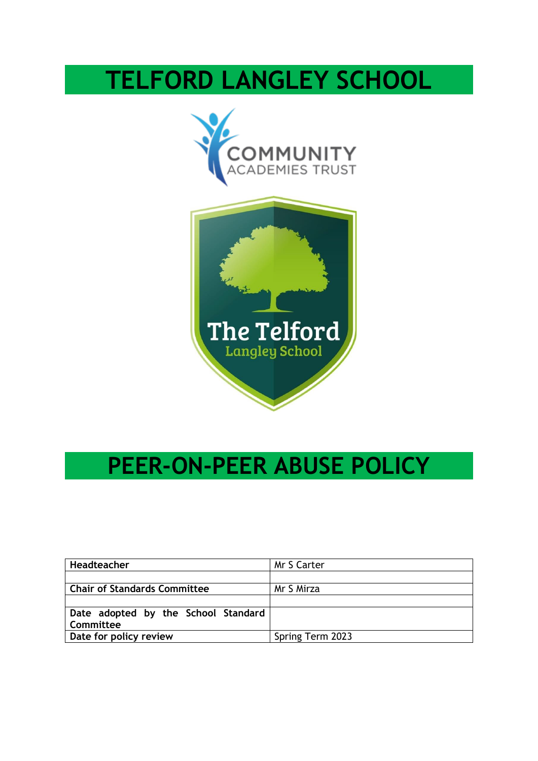# **TELFORD LANGLEY SCHOOL**





## **PEER-ON-PEER ABUSE POLICY**

| Headteacher                         | Mr S Carter      |
|-------------------------------------|------------------|
|                                     |                  |
| <b>Chair of Standards Committee</b> | Mr S Mirza       |
|                                     |                  |
| Date adopted by the School Standard |                  |
| Committee                           |                  |
| Date for policy review              | Spring Term 2023 |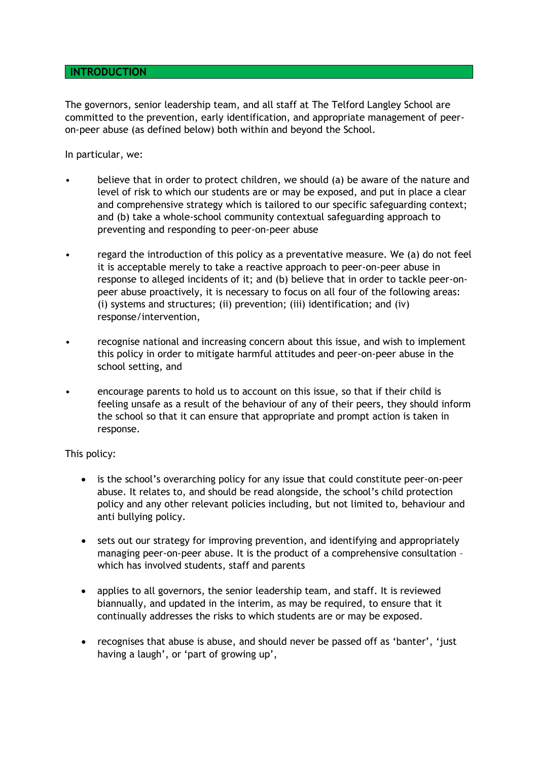#### **INTRODUCTION**

The governors, senior leadership team, and all staff at The Telford Langley School are committed to the prevention, early identification, and appropriate management of peeron-peer abuse (as defined below) both within and beyond the School.

In particular, we:

- believe that in order to protect children, we should (a) be aware of the nature and level of risk to which our students are or may be exposed, and put in place a clear and comprehensive strategy which is tailored to our specific safeguarding context; and (b) take a whole-school community contextual safeguarding approach to preventing and responding to peer-on-peer abuse
- regard the introduction of this policy as a preventative measure. We (a) do not feel it is acceptable merely to take a reactive approach to peer-on-peer abuse in response to alleged incidents of it; and (b) believe that in order to tackle peer-onpeer abuse proactively, it is necessary to focus on all four of the following areas: (i) systems and structures; (ii) prevention; (iii) identification; and (iv) response/intervention,
- recognise national and increasing concern about this issue, and wish to implement this policy in order to mitigate harmful attitudes and peer-on-peer abuse in the school setting, and
- encourage parents to hold us to account on this issue, so that if their child is feeling unsafe as a result of the behaviour of any of their peers, they should inform the school so that it can ensure that appropriate and prompt action is taken in response.

This policy:

- is the school's overarching policy for any issue that could constitute peer-on-peer abuse. It relates to, and should be read alongside, the school's child protection policy and any other relevant policies including, but not limited to, behaviour and anti bullying policy.
- sets out our strategy for improving prevention, and identifying and appropriately managing peer-on-peer abuse. It is the product of a comprehensive consultation – which has involved students, staff and parents
- applies to all governors, the senior leadership team, and staff. It is reviewed biannually, and updated in the interim, as may be required, to ensure that it continually addresses the risks to which students are or may be exposed.
- recognises that abuse is abuse, and should never be passed off as 'banter', 'just having a laugh', or 'part of growing up',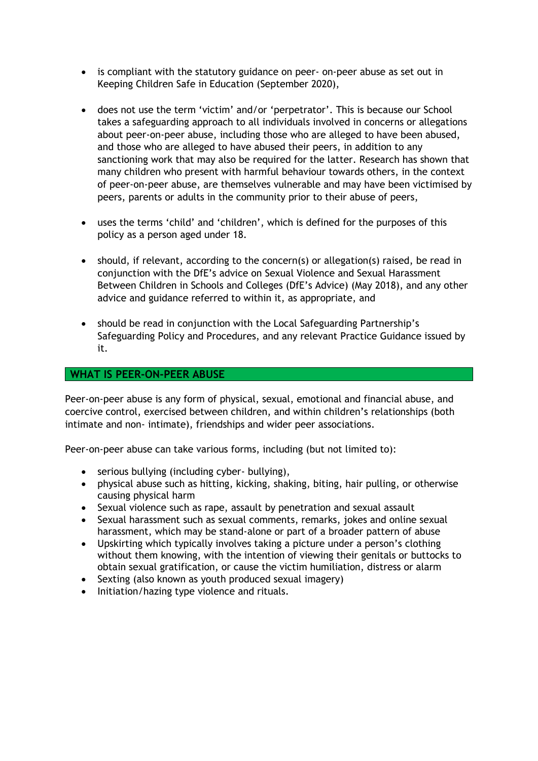- is compliant with the statutory guidance on peer- on-peer abuse as set out in Keeping Children Safe in Education (September 2020),
- does not use the term 'victim' and/or 'perpetrator'. This is because our School takes a safeguarding approach to all individuals involved in concerns or allegations about peer-on-peer abuse, including those who are alleged to have been abused, and those who are alleged to have abused their peers, in addition to any sanctioning work that may also be required for the latter. Research has shown that many children who present with harmful behaviour towards others, in the context of peer-on-peer abuse, are themselves vulnerable and may have been victimised by peers, parents or adults in the community prior to their abuse of peers,
- uses the terms 'child' and 'children', which is defined for the purposes of this policy as a person aged under 18.
- should, if relevant, according to the concern(s) or allegation(s) raised, be read in conjunction with the DfE's advice on Sexual Violence and Sexual Harassment Between Children in Schools and Colleges (DfE's Advice) (May 2018), and any other advice and guidance referred to within it, as appropriate, and
- should be read in conjunction with the Local Safeguarding Partnership's Safeguarding Policy and Procedures, and any relevant Practice Guidance issued by it.

#### **WHAT IS PEER-ON-PEER ABUSE**

Peer-on-peer abuse is any form of physical, sexual, emotional and financial abuse, and coercive control, exercised between children, and within children's relationships (both intimate and non- intimate), friendships and wider peer associations.

Peer-on-peer abuse can take various forms, including (but not limited to):

- serious bullying (including cyber- bullying),
- physical abuse such as hitting, kicking, shaking, biting, hair pulling, or otherwise causing physical harm
- Sexual violence such as rape, assault by penetration and sexual assault
- Sexual harassment such as sexual comments, remarks, jokes and online sexual harassment, which may be stand-alone or part of a broader pattern of abuse
- Upskirting which typically involves taking a picture under a person's clothing without them knowing, with the intention of viewing their genitals or buttocks to obtain sexual gratification, or cause the victim humiliation, distress or alarm
- Sexting (also known as youth produced sexual imagery)
- Initiation/hazing type violence and rituals.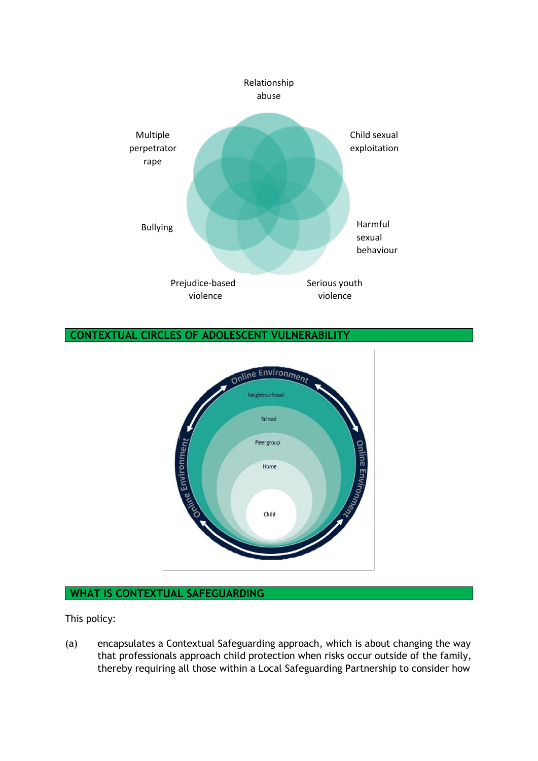

## **CONTEXTUAL CIRCLES OF ADOLESCENT VULNERABILITY**



## **WHAT IS CONTEXTUAL SAFEGUARDING**

This policy:

(a) encapsulates a Contextual Safeguarding approach, which is about changing the way that professionals approach child protection when risks occur outside of the family, thereby requiring all those within a Local Safeguarding Partnership to consider how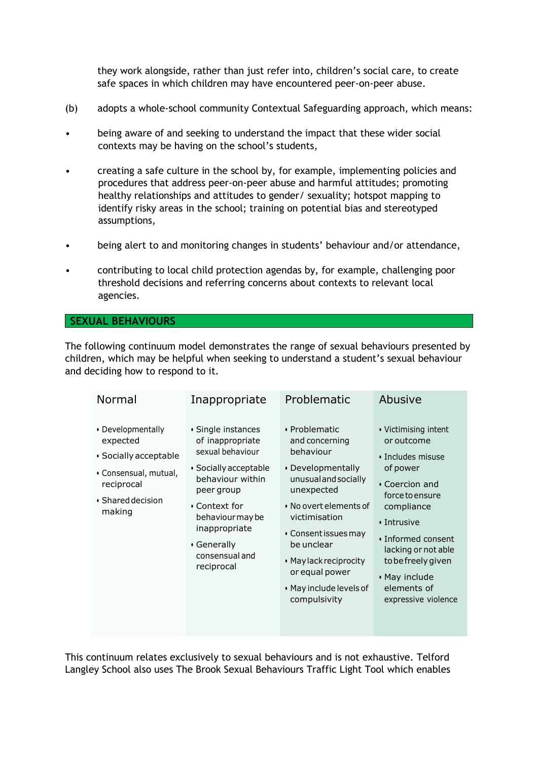they work alongside, rather than just refer into, children's social care, to create safe spaces in which children may have encountered peer-on-peer abuse.

- (b) adopts a whole-school community Contextual Safeguarding approach, which means:
- being aware of and seeking to understand the impact that these wider social contexts may be having on the school's students,
- creating a safe culture in the school by, for example, implementing policies and procedures that address peer-on-peer abuse and harmful attitudes; promoting healthy relationships and attitudes to gender/ sexuality; hotspot mapping to identify risky areas in the school; training on potential bias and stereotyped assumptions,
- being alert to and monitoring changes in students' behaviour and/or attendance,
- contributing to local child protection agendas by, for example, challenging poor threshold decisions and referring concerns about contexts to relevant local agencies.

#### **SEXUAL BEHAVIOURS**

The following continuum model demonstrates the range of sexual behaviours presented by children, which may be helpful when seeking to understand a student's sexual behaviour and deciding how to respond to it.

| Normal                                                                                                                             | Inappropriate                                                                                                                                                                                                              | Problematic                                                                                                                                                                                                                                                                     | Abusive                                                                                                                                                                                                                                                               |
|------------------------------------------------------------------------------------------------------------------------------------|----------------------------------------------------------------------------------------------------------------------------------------------------------------------------------------------------------------------------|---------------------------------------------------------------------------------------------------------------------------------------------------------------------------------------------------------------------------------------------------------------------------------|-----------------------------------------------------------------------------------------------------------------------------------------------------------------------------------------------------------------------------------------------------------------------|
| • Developmentally<br>expected<br>· Socially acceptable<br>• Consensual, mutual,<br>reciprocal<br>$\cdot$ Shared decision<br>making | • Single instances<br>of inappropriate<br>sexual behaviour<br>• Socially acceptable<br>behaviour within<br>peer group<br>• Context for<br>behaviour may be<br>inappropriate<br>• Generally<br>consensual and<br>reciprocal | • Problematic<br>and concerning<br>behaviour<br>• Developmentally<br>unusual and socially<br>unexpected<br>• No overt elements of<br>victimisation<br>• Consent issues may<br>be unclear<br>• May lack reciprocity<br>or equal power<br>• May include levels of<br>compulsivity | • Victimising intent<br>or outcome<br>• Includes misuse<br>of power<br>• Coercion and<br>force to ensure<br>compliance<br>$\cdot$ Intrusive<br>· Informed consent<br>lacking or not able<br>to be freely given<br>• May include<br>elements of<br>expressive violence |

This continuum relates exclusively to sexual behaviours and is not exhaustive. Telford Langley School also uses The Brook Sexual Behaviours Traffic Light Tool which enables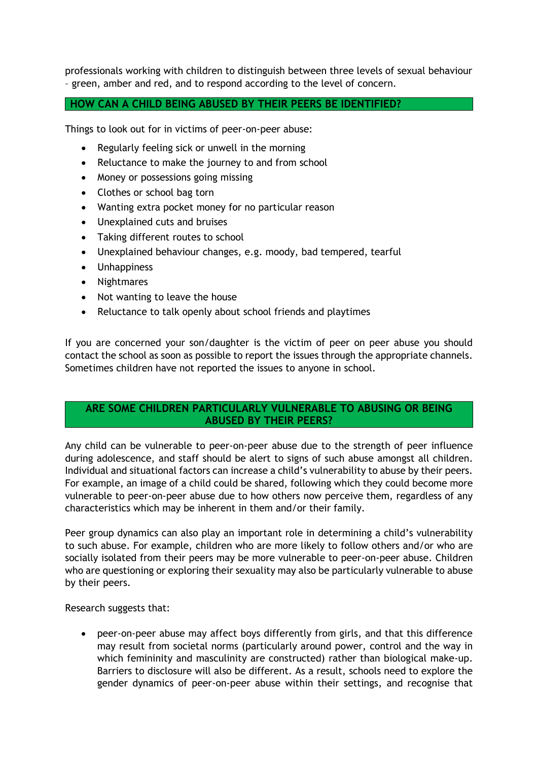professionals working with children to distinguish between three levels of sexual behaviour – green, amber and red, and to respond according to the level of concern.

## **HOW CAN A CHILD BEING ABUSED BY THEIR PEERS BE IDENTIFIED?**

Things to look out for in victims of peer-on-peer abuse:

- Regularly feeling sick or unwell in the morning
- Reluctance to make the journey to and from school
- Money or possessions going missing
- Clothes or school bag torn
- Wanting extra pocket money for no particular reason
- Unexplained cuts and bruises
- Taking different routes to school
- Unexplained behaviour changes, e.g. moody, bad tempered, tearful
- Unhappiness
- Nightmares
- Not wanting to leave the house
- Reluctance to talk openly about school friends and playtimes

If you are concerned your son/daughter is the victim of peer on peer abuse you should contact the school as soon as possible to report the issues through the appropriate channels. Sometimes children have not reported the issues to anyone in school.

## **ARE SOME CHILDREN PARTICULARLY VULNERABLE TO ABUSING OR BEING ABUSED BY THEIR PEERS?**

Any child can be vulnerable to peer-on-peer abuse due to the strength of peer influence during adolescence, and staff should be alert to signs of such abuse amongst all children. Individual and situational factors can increase a child's vulnerability to abuse by their peers. For example, an image of a child could be shared, following which they could become more vulnerable to peer-on-peer abuse due to how others now perceive them, regardless of any characteristics which may be inherent in them and/or their family.

Peer group dynamics can also play an important role in determining a child's vulnerability to such abuse. For example, children who are more likely to follow others and/or who are socially isolated from their peers may be more vulnerable to peer-on-peer abuse. Children who are questioning or exploring their sexuality may also be particularly vulnerable to abuse by their peers.

Research suggests that:

• peer-on-peer abuse may affect boys differently from girls, and that this difference may result from societal norms (particularly around power, control and the way in which femininity and masculinity are constructed) rather than biological make-up. Barriers to disclosure will also be different. As a result, schools need to explore the gender dynamics of peer-on-peer abuse within their settings, and recognise that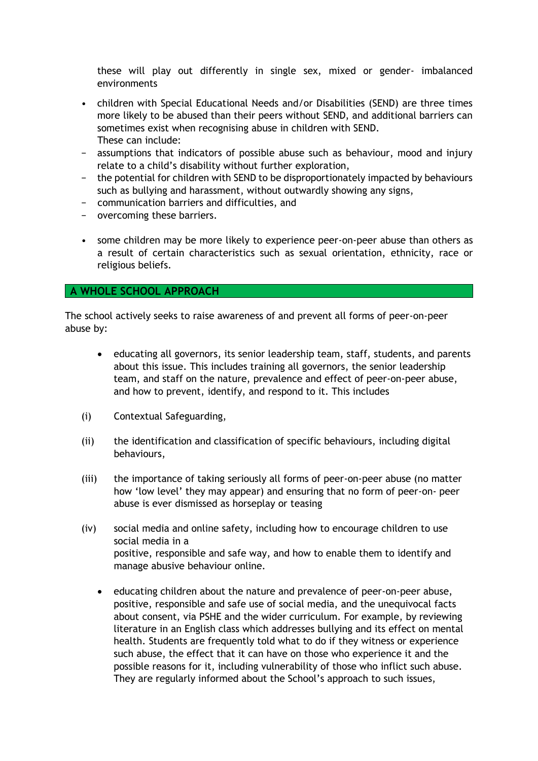these will play out differently in single sex, mixed or gender- imbalanced environments

- children with Special Educational Needs and/or Disabilities (SEND) are three times more likely to be abused than their peers without SEND, and additional barriers can sometimes exist when recognising abuse in children with SEND. These can include:
- − assumptions that indicators of possible abuse such as behaviour, mood and injury relate to a child's disability without further exploration,
- − the potential for children with SEND to be disproportionately impacted by behaviours such as bullying and harassment, without outwardly showing any signs,
- − communication barriers and difficulties, and
- − overcoming these barriers.
- some children may be more likely to experience peer-on-peer abuse than others as a result of certain characteristics such as sexual orientation, ethnicity, race or religious beliefs.

#### **A WHOLE SCHOOL APPROACH**

The school actively seeks to raise awareness of and prevent all forms of peer-on-peer abuse by:

- educating all governors, its senior leadership team, staff, students, and parents about this issue. This includes training all governors, the senior leadership team, and staff on the nature, prevalence and effect of peer-on-peer abuse, and how to prevent, identify, and respond to it. This includes
- (i) Contextual Safeguarding,
- (ii) the identification and classification of specific behaviours, including digital behaviours,
- (iii) the importance of taking seriously all forms of peer-on-peer abuse (no matter how 'low level' they may appear) and ensuring that no form of peer-on- peer abuse is ever dismissed as horseplay or teasing
- (iv) social media and online safety, including how to encourage children to use social media in a positive, responsible and safe way, and how to enable them to identify and manage abusive behaviour online.
	- educating children about the nature and prevalence of peer-on-peer abuse, positive, responsible and safe use of social media, and the unequivocal facts about consent, via PSHE and the wider curriculum. For example, by reviewing literature in an English class which addresses bullying and its effect on mental health. Students are frequently told what to do if they witness or experience such abuse, the effect that it can have on those who experience it and the possible reasons for it, including vulnerability of those who inflict such abuse. They are regularly informed about the School's approach to such issues,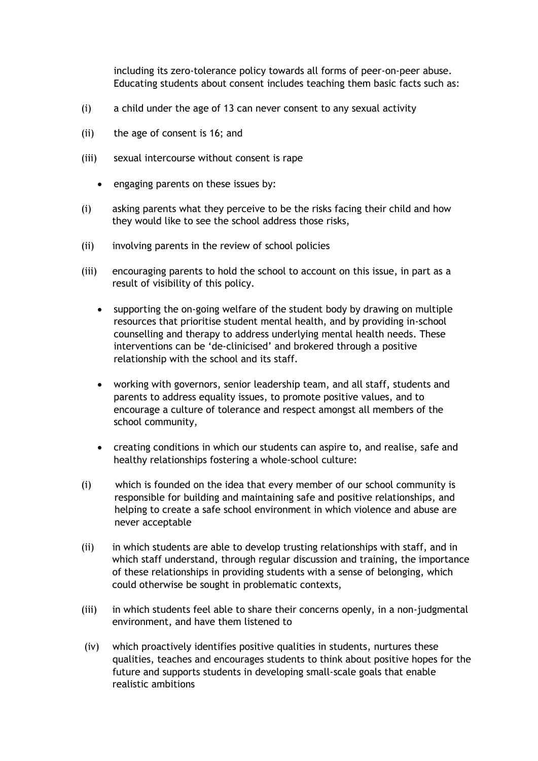including its zero-tolerance policy towards all forms of peer-on-peer abuse. Educating students about consent includes teaching them basic facts such as:

- (i) a child under the age of 13 can never consent to any sexual activity
- (ii) the age of consent is 16; and
- (iii) sexual intercourse without consent is rape
	- engaging parents on these issues by:
- (i) asking parents what they perceive to be the risks facing their child and how they would like to see the school address those risks,
- (ii) involving parents in the review of school policies
- (iii) encouraging parents to hold the school to account on this issue, in part as a result of visibility of this policy.
	- supporting the on-going welfare of the student body by drawing on multiple resources that prioritise student mental health, and by providing in-school counselling and therapy to address underlying mental health needs. These interventions can be 'de-clinicised' and brokered through a positive relationship with the school and its staff.
	- working with governors, senior leadership team, and all staff, students and parents to address equality issues, to promote positive values, and to encourage a culture of tolerance and respect amongst all members of the school community,
	- creating conditions in which our students can aspire to, and realise, safe and healthy relationships fostering a whole-school culture:
- (i) which is founded on the idea that every member of our school community is responsible for building and maintaining safe and positive relationships, and helping to create a safe school environment in which violence and abuse are never acceptable
- (ii) in which students are able to develop trusting relationships with staff, and in which staff understand, through regular discussion and training, the importance of these relationships in providing students with a sense of belonging, which could otherwise be sought in problematic contexts,
- (iii) in which students feel able to share their concerns openly, in a non-judgmental environment, and have them listened to
- (iv) which proactively identifies positive qualities in students, nurtures these qualities, teaches and encourages students to think about positive hopes for the future and supports students in developing small-scale goals that enable realistic ambitions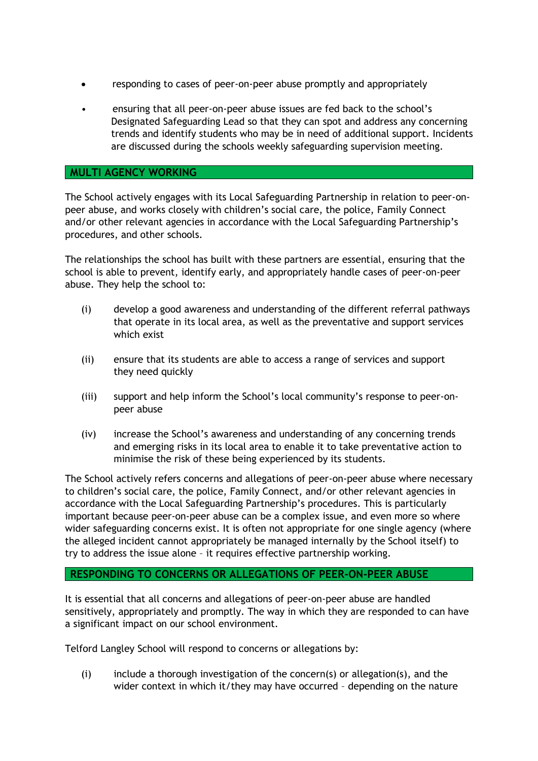- responding to cases of peer-on-peer abuse promptly and appropriately
- ensuring that all peer-on-peer abuse issues are fed back to the school's Designated Safeguarding Lead so that they can spot and address any concerning trends and identify students who may be in need of additional support. Incidents are discussed during the schools weekly safeguarding supervision meeting.

#### **MULTI AGENCY WORKING**

The School actively engages with its Local Safeguarding Partnership in relation to peer-onpeer abuse, and works closely with children's social care, the police, Family Connect and/or other relevant agencies in accordance with the Local Safeguarding Partnership's procedures, and other schools.

The relationships the school has built with these partners are essential, ensuring that the school is able to prevent, identify early, and appropriately handle cases of peer-on-peer abuse. They help the school to:

- (i) develop a good awareness and understanding of the different referral pathways that operate in its local area, as well as the preventative and support services which exist
- (ii) ensure that its students are able to access a range of services and support they need quickly
- (iii) support and help inform the School's local community's response to peer-onpeer abuse
- (iv) increase the School's awareness and understanding of any concerning trends and emerging risks in its local area to enable it to take preventative action to minimise the risk of these being experienced by its students.

The School actively refers concerns and allegations of peer-on-peer abuse where necessary to children's social care, the police, Family Connect, and/or other relevant agencies in accordance with the Local Safeguarding Partnership's procedures. This is particularly important because peer-on-peer abuse can be a complex issue, and even more so where wider safeguarding concerns exist. It is often not appropriate for one single agency (where the alleged incident cannot appropriately be managed internally by the School itself) to try to address the issue alone – it requires effective partnership working.

#### **RESPONDING TO CONCERNS OR ALLEGATIONS OF PEER-ON-PEER ABUSE**

It is essential that all concerns and allegations of peer-on-peer abuse are handled sensitively, appropriately and promptly. The way in which they are responded to can have a significant impact on our school environment.

Telford Langley School will respond to concerns or allegations by:

(i) include a thorough investigation of the concern(s) or allegation(s), and the wider context in which it/they may have occurred - depending on the nature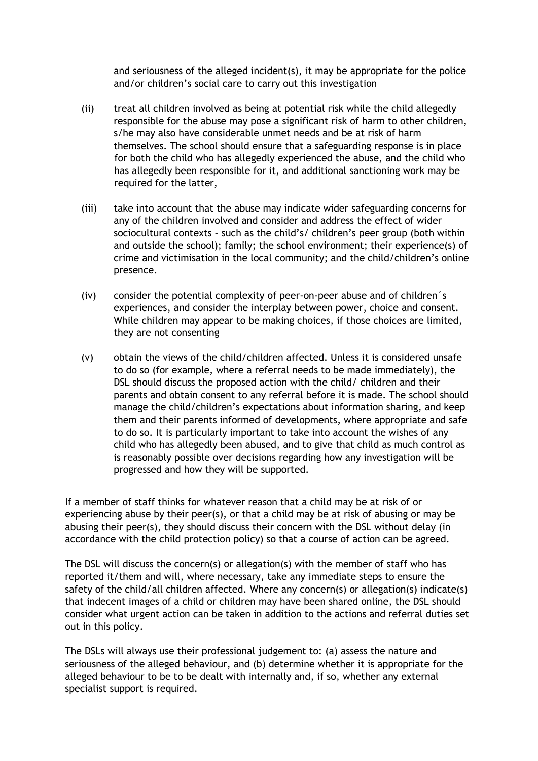and seriousness of the alleged incident(s), it may be appropriate for the police and/or children's social care to carry out this investigation

- (ii) treat all children involved as being at potential risk while the child allegedly responsible for the abuse may pose a significant risk of harm to other children, s/he may also have considerable unmet needs and be at risk of harm themselves. The school should ensure that a safeguarding response is in place for both the child who has allegedly experienced the abuse, and the child who has allegedly been responsible for it, and additional sanctioning work may be required for the latter,
- (iii) take into account that the abuse may indicate wider safeguarding concerns for any of the children involved and consider and address the effect of wider sociocultural contexts – such as the child's/ children's peer group (both within and outside the school); family; the school environment; their experience(s) of crime and victimisation in the local community; and the child/children's online presence.
- (iv) consider the potential complexity of peer-on-peer abuse and of children´s experiences, and consider the interplay between power, choice and consent. While children may appear to be making choices, if those choices are limited, they are not consenting
- (v) obtain the views of the child/children affected. Unless it is considered unsafe to do so (for example, where a referral needs to be made immediately), the DSL should discuss the proposed action with the child/ children and their parents and obtain consent to any referral before it is made. The school should manage the child/children's expectations about information sharing, and keep them and their parents informed of developments, where appropriate and safe to do so. It is particularly important to take into account the wishes of any child who has allegedly been abused, and to give that child as much control as is reasonably possible over decisions regarding how any investigation will be progressed and how they will be supported.

If a member of staff thinks for whatever reason that a child may be at risk of or experiencing abuse by their peer(s), or that a child may be at risk of abusing or may be abusing their peer(s), they should discuss their concern with the DSL without delay (in accordance with the child protection policy) so that a course of action can be agreed.

The DSL will discuss the concern(s) or allegation(s) with the member of staff who has reported it/them and will, where necessary, take any immediate steps to ensure the safety of the child/all children affected. Where any concern(s) or allegation(s) indicate(s) that indecent images of a child or children may have been shared online, the DSL should consider what urgent action can be taken in addition to the actions and referral duties set out in this policy.

The DSLs will always use their professional judgement to: (a) assess the nature and seriousness of the alleged behaviour, and (b) determine whether it is appropriate for the alleged behaviour to be to be dealt with internally and, if so, whether any external specialist support is required.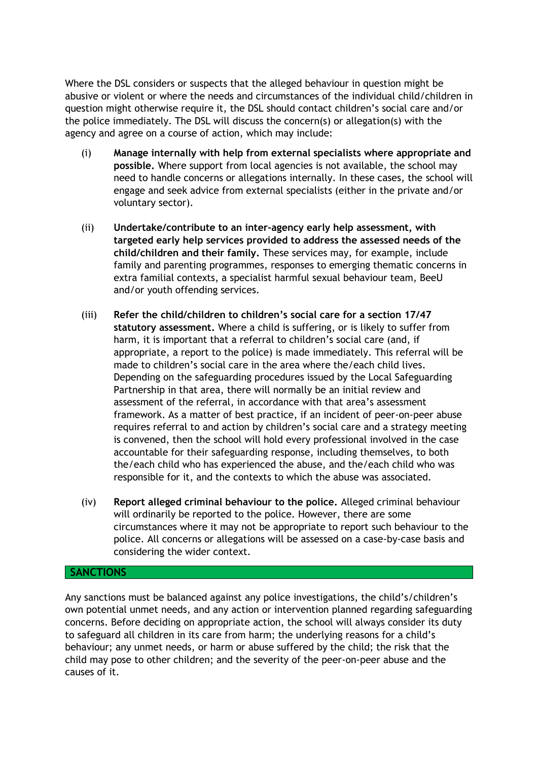Where the DSL considers or suspects that the alleged behaviour in question might be abusive or violent or where the needs and circumstances of the individual child/children in question might otherwise require it, the DSL should contact children's social care and/or the police immediately. The DSL will discuss the concern(s) or allegation(s) with the agency and agree on a course of action, which may include:

- (i) **Manage internally with help from external specialists where appropriate and possible.** Where support from local agencies is not available, the school may need to handle concerns or allegations internally. In these cases, the school will engage and seek advice from external specialists (either in the private and/or voluntary sector).
- (ii) **Undertake/contribute to an inter-agency early help assessment, with targeted early help services provided to address the assessed needs of the child/children and their family.** These services may, for example, include family and parenting programmes, responses to emerging thematic concerns in extra familial contexts, a specialist harmful sexual behaviour team, BeeU and/or youth offending services.
- (iii) **Refer the child/children to children's social care for a section 17/47 statutory assessment.** Where a child is suffering, or is likely to suffer from harm, it is important that a referral to children's social care (and, if appropriate, a report to the police) is made immediately. This referral will be made to children's social care in the area where the/each child lives. Depending on the safeguarding procedures issued by the Local Safeguarding Partnership in that area, there will normally be an initial review and assessment of the referral, in accordance with that area's assessment framework. As a matter of best practice, if an incident of peer-on-peer abuse requires referral to and action by children's social care and a strategy meeting is convened, then the school will hold every professional involved in the case accountable for their safeguarding response, including themselves, to both the/each child who has experienced the abuse, and the/each child who was responsible for it, and the contexts to which the abuse was associated.
- (iv) **Report alleged criminal behaviour to the police.** Alleged criminal behaviour will ordinarily be reported to the police. However, there are some circumstances where it may not be appropriate to report such behaviour to the police. All concerns or allegations will be assessed on a case-by-case basis and considering the wider context.

### **SANCTIONS**

Any sanctions must be balanced against any police investigations, the child's/children's own potential unmet needs, and any action or intervention planned regarding safeguarding concerns. Before deciding on appropriate action, the school will always consider its duty to safeguard all children in its care from harm; the underlying reasons for a child's behaviour; any unmet needs, or harm or abuse suffered by the child; the risk that the child may pose to other children; and the severity of the peer-on-peer abuse and the causes of it.